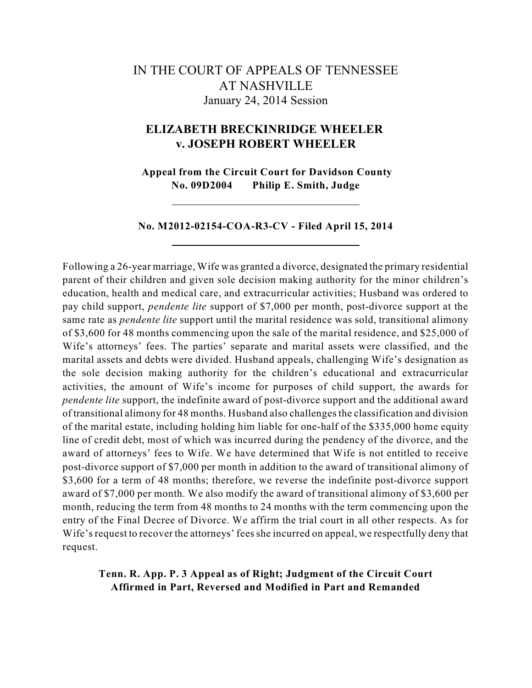# IN THE COURT OF APPEALS OF TENNESSEE AT NASHVILLE January 24, 2014 Session

## **ELIZABETH BRECKINRIDGE WHEELER v. JOSEPH ROBERT WHEELER**

**Appeal from the Circuit Court for Davidson County No. 09D2004 Philip E. Smith, Judge**

### **No. M2012-02154-COA-R3-CV - Filed April 15, 2014**

Following a 26-year marriage, Wife was granted a divorce, designated the primary residential parent of their children and given sole decision making authority for the minor children's education, health and medical care, and extracurricular activities; Husband was ordered to pay child support, *pendente lite* support of \$7,000 per month, post-divorce support at the same rate as *pendente lite* support until the marital residence was sold, transitional alimony of \$3,600 for 48 months commencing upon the sale of the marital residence, and \$25,000 of Wife's attorneys' fees. The parties' separate and marital assets were classified, and the marital assets and debts were divided. Husband appeals, challenging Wife's designation as the sole decision making authority for the children's educational and extracurricular activities, the amount of Wife's income for purposes of child support, the awards for *pendente lite* support, the indefinite award of post-divorce support and the additional award of transitional alimony for 48 months. Husband also challengesthe classification and division of the marital estate, including holding him liable for one-half of the \$335,000 home equity line of credit debt, most of which was incurred during the pendency of the divorce, and the award of attorneys' fees to Wife. We have determined that Wife is not entitled to receive post-divorce support of \$7,000 per month in addition to the award of transitional alimony of \$3,600 for a term of 48 months; therefore, we reverse the indefinite post-divorce support award of \$7,000 per month. We also modify the award of transitional alimony of \$3,600 per month, reducing the term from 48 months to 24 months with the term commencing upon the entry of the Final Decree of Divorce. We affirm the trial court in all other respects. As for Wife's request to recover the attorneys' fees she incurred on appeal, we respectfully deny that request.

## **Tenn. R. App. P. 3 Appeal as of Right; Judgment of the Circuit Court Affirmed in Part, Reversed and Modified in Part and Remanded**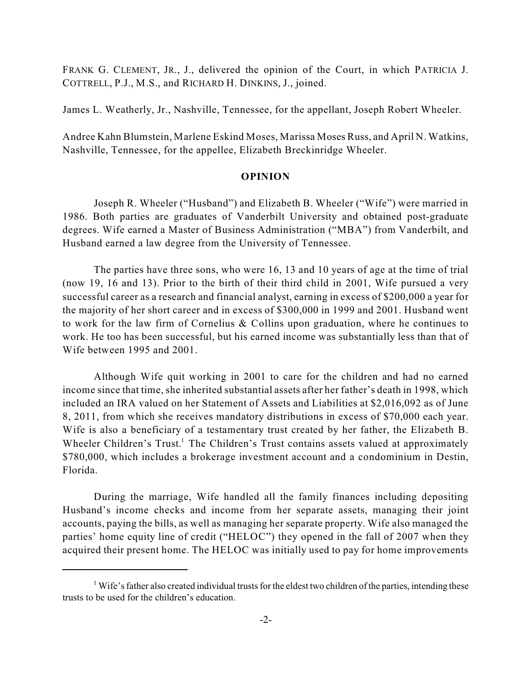FRANK G. CLEMENT, JR., J., delivered the opinion of the Court, in which PATRICIA J. COTTRELL, P.J., M.S., and RICHARD H. DINKINS, J., joined.

James L. Weatherly, Jr., Nashville, Tennessee, for the appellant, Joseph Robert Wheeler.

Andree Kahn Blumstein, Marlene Eskind Moses, Marissa Moses Russ, and April N. Watkins, Nashville, Tennessee, for the appellee, Elizabeth Breckinridge Wheeler.

### **OPINION**

Joseph R. Wheeler ("Husband") and Elizabeth B. Wheeler ("Wife") were married in 1986. Both parties are graduates of Vanderbilt University and obtained post-graduate degrees. Wife earned a Master of Business Administration ("MBA") from Vanderbilt, and Husband earned a law degree from the University of Tennessee.

The parties have three sons, who were 16, 13 and 10 years of age at the time of trial (now 19, 16 and 13). Prior to the birth of their third child in 2001, Wife pursued a very successful career as a research and financial analyst, earning in excess of \$200,000 a year for the majority of her short career and in excess of \$300,000 in 1999 and 2001. Husband went to work for the law firm of Cornelius & Collins upon graduation, where he continues to work. He too has been successful, but his earned income was substantially less than that of Wife between 1995 and 2001.

Although Wife quit working in 2001 to care for the children and had no earned income since that time, she inherited substantial assets after her father's death in 1998, which included an IRA valued on her Statement of Assets and Liabilities at \$2,016,092 as of June 8, 2011, from which she receives mandatory distributions in excess of \$70,000 each year. Wife is also a beneficiary of a testamentary trust created by her father, the Elizabeth B. Wheeler Children's Trust.<sup>1</sup> The Children's Trust contains assets valued at approximately \$780,000, which includes a brokerage investment account and a condominium in Destin, Florida.

During the marriage, Wife handled all the family finances including depositing Husband's income checks and income from her separate assets, managing their joint accounts, paying the bills, as well as managing her separate property. Wife also managed the parties' home equity line of credit ("HELOC") they opened in the fall of 2007 when they acquired their present home. The HELOC was initially used to pay for home improvements

<sup>&</sup>lt;sup>1</sup> Wife's father also created individual trusts for the eldest two children of the parties, intending these trusts to be used for the children's education.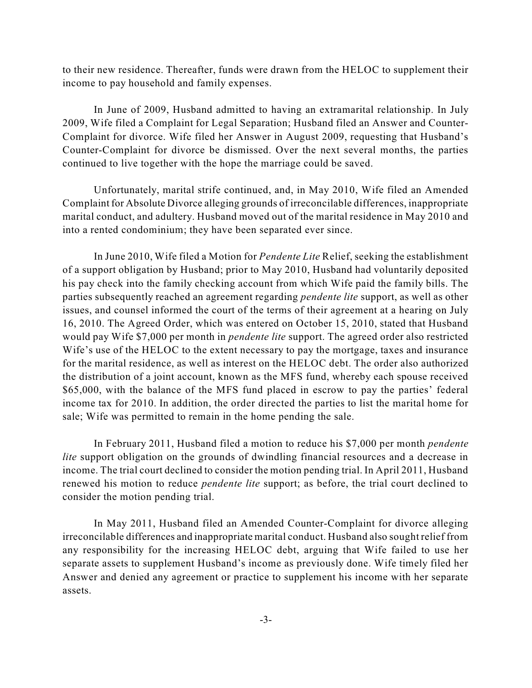to their new residence. Thereafter, funds were drawn from the HELOC to supplement their income to pay household and family expenses.

In June of 2009, Husband admitted to having an extramarital relationship. In July 2009, Wife filed a Complaint for Legal Separation; Husband filed an Answer and Counter-Complaint for divorce. Wife filed her Answer in August 2009, requesting that Husband's Counter-Complaint for divorce be dismissed. Over the next several months, the parties continued to live together with the hope the marriage could be saved.

Unfortunately, marital strife continued, and, in May 2010, Wife filed an Amended Complaint for Absolute Divorce alleging grounds of irreconcilable differences, inappropriate marital conduct, and adultery. Husband moved out of the marital residence in May 2010 and into a rented condominium; they have been separated ever since.

In June 2010, Wife filed a Motion for *Pendente Lite* Relief, seeking the establishment of a support obligation by Husband; prior to May 2010, Husband had voluntarily deposited his pay check into the family checking account from which Wife paid the family bills. The parties subsequently reached an agreement regarding *pendente lite* support, as well as other issues, and counsel informed the court of the terms of their agreement at a hearing on July 16, 2010. The Agreed Order, which was entered on October 15, 2010, stated that Husband would pay Wife \$7,000 per month in *pendente lite* support. The agreed order also restricted Wife's use of the HELOC to the extent necessary to pay the mortgage, taxes and insurance for the marital residence, as well as interest on the HELOC debt. The order also authorized the distribution of a joint account, known as the MFS fund, whereby each spouse received \$65,000, with the balance of the MFS fund placed in escrow to pay the parties' federal income tax for 2010. In addition, the order directed the parties to list the marital home for sale; Wife was permitted to remain in the home pending the sale.

In February 2011, Husband filed a motion to reduce his \$7,000 per month *pendente lite* support obligation on the grounds of dwindling financial resources and a decrease in income. The trial court declined to consider the motion pending trial. In April 2011, Husband renewed his motion to reduce *pendente lite* support; as before, the trial court declined to consider the motion pending trial.

In May 2011, Husband filed an Amended Counter-Complaint for divorce alleging irreconcilable differences and inappropriate marital conduct. Husband also sought relief from any responsibility for the increasing HELOC debt, arguing that Wife failed to use her separate assets to supplement Husband's income as previously done. Wife timely filed her Answer and denied any agreement or practice to supplement his income with her separate assets.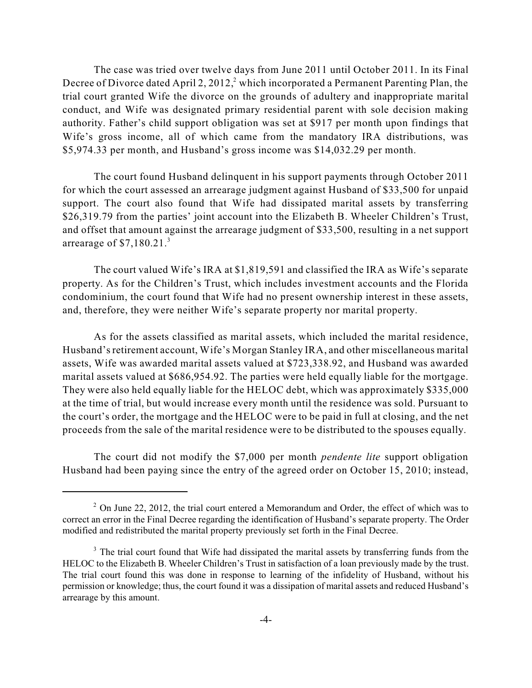The case was tried over twelve days from June 2011 until October 2011. In its Final Decree of Divorce dated April 2, 2012, $^2$  which incorporated a Permanent Parenting Plan, the trial court granted Wife the divorce on the grounds of adultery and inappropriate marital conduct, and Wife was designated primary residential parent with sole decision making authority. Father's child support obligation was set at \$917 per month upon findings that Wife's gross income, all of which came from the mandatory IRA distributions, was \$5,974.33 per month, and Husband's gross income was \$14,032.29 per month.

The court found Husband delinquent in his support payments through October 2011 for which the court assessed an arrearage judgment against Husband of \$33,500 for unpaid support. The court also found that Wife had dissipated marital assets by transferring \$26,319.79 from the parties' joint account into the Elizabeth B. Wheeler Children's Trust, and offset that amount against the arrearage judgment of \$33,500, resulting in a net support arrearage of  $$7,180.21$ .<sup>3</sup>

The court valued Wife's IRA at \$1,819,591 and classified the IRA as Wife's separate property. As for the Children's Trust, which includes investment accounts and the Florida condominium, the court found that Wife had no present ownership interest in these assets, and, therefore, they were neither Wife's separate property nor marital property.

As for the assets classified as marital assets, which included the marital residence, Husband's retirement account, Wife's Morgan Stanley IRA, and other miscellaneous marital assets, Wife was awarded marital assets valued at \$723,338.92, and Husband was awarded marital assets valued at \$686,954.92. The parties were held equally liable for the mortgage. They were also held equally liable for the HELOC debt, which was approximately \$335,000 at the time of trial, but would increase every month until the residence was sold. Pursuant to the court's order, the mortgage and the HELOC were to be paid in full at closing, and the net proceeds from the sale of the marital residence were to be distributed to the spouses equally.

The court did not modify the \$7,000 per month *pendente lite* support obligation Husband had been paying since the entry of the agreed order on October 15, 2010; instead,

 $2$  On June 22, 2012, the trial court entered a Memorandum and Order, the effect of which was to correct an error in the Final Decree regarding the identification of Husband's separate property. The Order modified and redistributed the marital property previously set forth in the Final Decree.

 $3$  The trial court found that Wife had dissipated the marital assets by transferring funds from the HELOC to the Elizabeth B. Wheeler Children's Trust in satisfaction of a loan previously made by the trust. The trial court found this was done in response to learning of the infidelity of Husband, without his permission or knowledge; thus, the court found it was a dissipation of marital assets and reduced Husband's arrearage by this amount.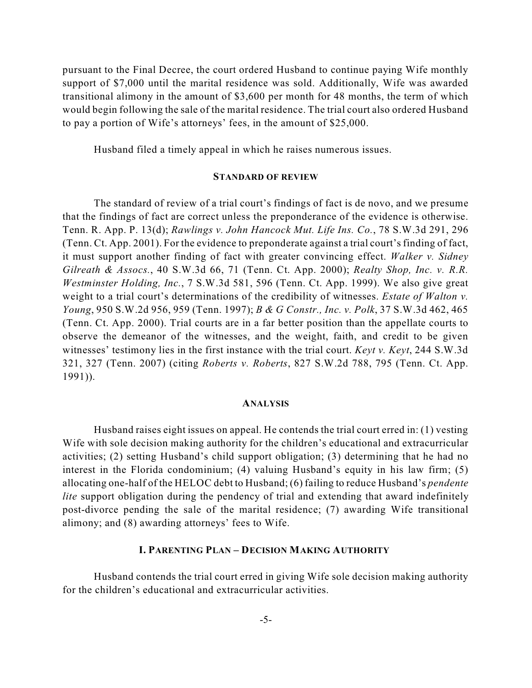pursuant to the Final Decree, the court ordered Husband to continue paying Wife monthly support of \$7,000 until the marital residence was sold. Additionally, Wife was awarded transitional alimony in the amount of \$3,600 per month for 48 months, the term of which would begin following the sale of the marital residence. The trial court also ordered Husband to pay a portion of Wife's attorneys' fees, in the amount of \$25,000.

Husband filed a timely appeal in which he raises numerous issues.

#### **STANDARD OF REVIEW**

The standard of review of a trial court's findings of fact is de novo, and we presume that the findings of fact are correct unless the preponderance of the evidence is otherwise. Tenn. R. App. P. 13(d); *Rawlings v. John Hancock Mut. Life Ins. Co.*, 78 S.W.3d 291, 296 (Tenn. Ct. App. 2001). For the evidence to preponderate against a trial court's finding of fact, it must support another finding of fact with greater convincing effect. *Walker v. Sidney Gilreath & Assocs.*, 40 S.W.3d 66, 71 (Tenn. Ct. App. 2000); *Realty Shop, Inc. v. R.R. Westminster Holding, Inc.*, 7 S.W.3d 581, 596 (Tenn. Ct. App. 1999). We also give great weight to a trial court's determinations of the credibility of witnesses. *Estate of Walton v. Young*, 950 S.W.2d 956, 959 (Tenn. 1997); *B & G Constr., Inc. v. Polk*, 37 S.W.3d 462, 465 (Tenn. Ct. App. 2000). Trial courts are in a far better position than the appellate courts to observe the demeanor of the witnesses, and the weight, faith, and credit to be given witnesses' testimony lies in the first instance with the trial court. *Keyt v. Keyt*, 244 S.W.3d 321, 327 (Tenn. 2007) (citing *Roberts v. Roberts*, 827 S.W.2d 788, 795 (Tenn. Ct. App. 1991)).

#### **ANALYSIS**

Husband raises eight issues on appeal. He contends the trial court erred in: (1) vesting Wife with sole decision making authority for the children's educational and extracurricular activities; (2) setting Husband's child support obligation; (3) determining that he had no interest in the Florida condominium; (4) valuing Husband's equity in his law firm; (5) allocating one-half of the HELOC debt to Husband; (6) failing to reduce Husband's *pendente lite* support obligation during the pendency of trial and extending that award indefinitely post-divorce pending the sale of the marital residence; (7) awarding Wife transitional alimony; and (8) awarding attorneys' fees to Wife.

#### **I. PARENTING PLAN – DECISION MAKING AUTHORITY**

Husband contends the trial court erred in giving Wife sole decision making authority for the children's educational and extracurricular activities.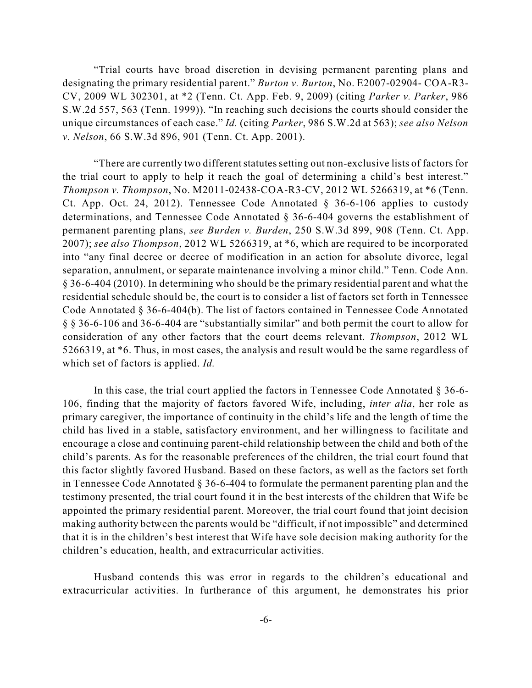"Trial courts have broad discretion in devising permanent parenting plans and designating the primary residential parent." *Burton v. Burton*, No. E2007-02904- COA-R3- CV, 2009 WL 302301, at \*2 (Tenn. Ct. App. Feb. 9, 2009) (citing *Parker v. Parker*, 986 S.W.2d 557, 563 (Tenn. 1999)). "In reaching such decisions the courts should consider the unique circumstances of each case." *Id.* (citing *Parker*, 986 S.W.2d at 563); *see also Nelson v. Nelson*, 66 S.W.3d 896, 901 (Tenn. Ct. App. 2001).

"There are currently two different statutes setting out non-exclusive lists of factors for the trial court to apply to help it reach the goal of determining a child's best interest." *Thompson v. Thompson*, No. M2011-02438-COA-R3-CV, 2012 WL 5266319, at \*6 (Tenn. Ct. App. Oct. 24, 2012). Tennessee Code Annotated § 36-6-106 applies to custody determinations, and Tennessee Code Annotated § 36-6-404 governs the establishment of permanent parenting plans, *see Burden v. Burden*, 250 S.W.3d 899, 908 (Tenn. Ct. App. 2007); *see also Thompson*, 2012 WL 5266319, at \*6, which are required to be incorporated into "any final decree or decree of modification in an action for absolute divorce, legal separation, annulment, or separate maintenance involving a minor child." Tenn. Code Ann. § 36-6-404 (2010). In determining who should be the primary residential parent and what the residential schedule should be, the court is to consider a list of factors set forth in Tennessee Code Annotated § 36-6-404(b). The list of factors contained in Tennessee Code Annotated § § 36-6-106 and 36-6-404 are "substantially similar" and both permit the court to allow for consideration of any other factors that the court deems relevant. *Thompson*, 2012 WL 5266319, at \*6. Thus, in most cases, the analysis and result would be the same regardless of which set of factors is applied. *Id.*

In this case, the trial court applied the factors in Tennessee Code Annotated § 36-6- 106, finding that the majority of factors favored Wife, including, *inter alia*, her role as primary caregiver, the importance of continuity in the child's life and the length of time the child has lived in a stable, satisfactory environment, and her willingness to facilitate and encourage a close and continuing parent-child relationship between the child and both of the child's parents. As for the reasonable preferences of the children, the trial court found that this factor slightly favored Husband. Based on these factors, as well as the factors set forth in Tennessee Code Annotated § 36-6-404 to formulate the permanent parenting plan and the testimony presented, the trial court found it in the best interests of the children that Wife be appointed the primary residential parent. Moreover, the trial court found that joint decision making authority between the parents would be "difficult, if not impossible" and determined that it is in the children's best interest that Wife have sole decision making authority for the children's education, health, and extracurricular activities.

Husband contends this was error in regards to the children's educational and extracurricular activities. In furtherance of this argument, he demonstrates his prior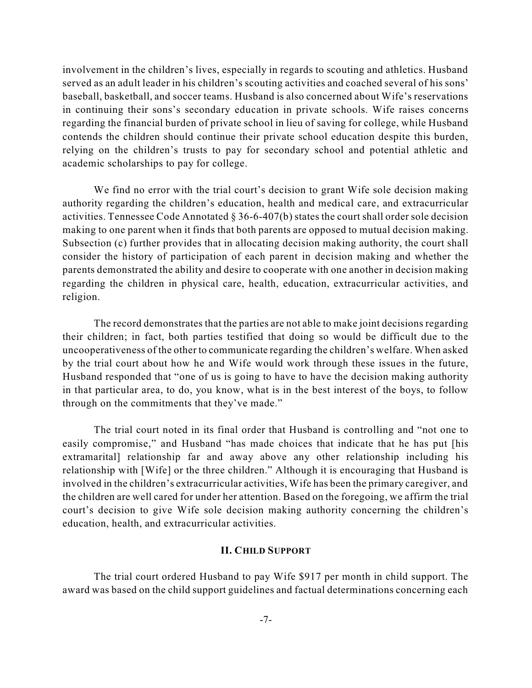involvement in the children's lives, especially in regards to scouting and athletics. Husband served as an adult leader in his children's scouting activities and coached several of his sons' baseball, basketball, and soccer teams. Husband is also concerned about Wife's reservations in continuing their sons's secondary education in private schools. Wife raises concerns regarding the financial burden of private school in lieu of saving for college, while Husband contends the children should continue their private school education despite this burden, relying on the children's trusts to pay for secondary school and potential athletic and academic scholarships to pay for college.

We find no error with the trial court's decision to grant Wife sole decision making authority regarding the children's education, health and medical care, and extracurricular activities. Tennessee Code Annotated  $\S 36-6-407(b)$  states the court shall order sole decision making to one parent when it finds that both parents are opposed to mutual decision making. Subsection (c) further provides that in allocating decision making authority, the court shall consider the history of participation of each parent in decision making and whether the parents demonstrated the ability and desire to cooperate with one another in decision making regarding the children in physical care, health, education, extracurricular activities, and religion.

The record demonstrates that the parties are not able to make joint decisions regarding their children; in fact, both parties testified that doing so would be difficult due to the uncooperativeness of the other to communicate regarding the children's welfare. When asked by the trial court about how he and Wife would work through these issues in the future, Husband responded that "one of us is going to have to have the decision making authority in that particular area, to do, you know, what is in the best interest of the boys, to follow through on the commitments that they've made."

The trial court noted in its final order that Husband is controlling and "not one to easily compromise," and Husband "has made choices that indicate that he has put [his extramarital] relationship far and away above any other relationship including his relationship with [Wife] or the three children." Although it is encouraging that Husband is involved in the children's extracurricular activities, Wife has been the primary caregiver, and the children are well cared for under her attention. Based on the foregoing, we affirm the trial court's decision to give Wife sole decision making authority concerning the children's education, health, and extracurricular activities.

### **II. CHILD SUPPORT**

The trial court ordered Husband to pay Wife \$917 per month in child support. The award was based on the child support guidelines and factual determinations concerning each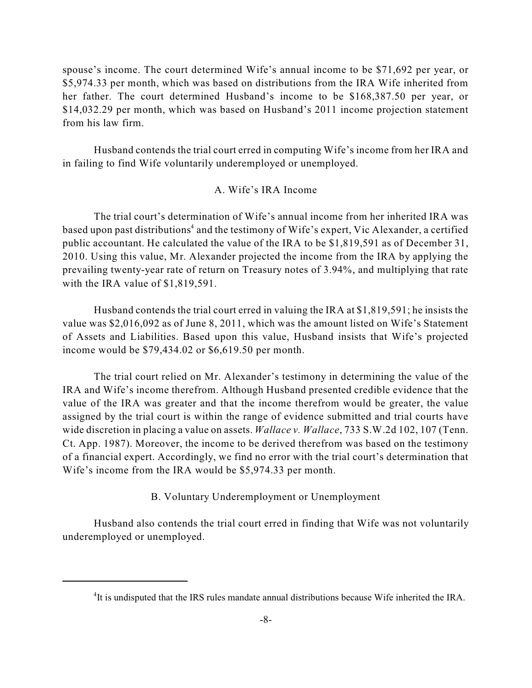spouse's income. The court determined Wife's annual income to be \$71,692 per year, or \$5,974.33 per month, which was based on distributions from the IRA Wife inherited from her father. The court determined Husband's income to be \$168,387.50 per year, or \$14,032.29 per month, which was based on Husband's 2011 income projection statement from his law firm.

Husband contends the trial court erred in computing Wife's income from her IRA and in failing to find Wife voluntarily underemployed or unemployed.

## A. Wife's IRA Income

The trial court's determination of Wife's annual income from her inherited IRA was based upon past distributions<sup>4</sup> and the testimony of Wife's expert, Vic Alexander, a certified public accountant. He calculated the value of the IRA to be \$1,819,591 as of December 31, 2010. Using this value, Mr. Alexander projected the income from the IRA by applying the prevailing twenty-year rate of return on Treasury notes of 3.94%, and multiplying that rate with the IRA value of \$1,819,591.

Husband contends the trial court erred in valuing the IRA at \$1,819,591; he insists the value was \$2,016,092 as of June 8, 2011, which was the amount listed on Wife's Statement of Assets and Liabilities. Based upon this value, Husband insists that Wife's projected income would be \$79,434.02 or \$6,619.50 per month.

The trial court relied on Mr. Alexander's testimony in determining the value of the IRA and Wife's income therefrom. Although Husband presented credible evidence that the value of the IRA was greater and that the income therefrom would be greater, the value assigned by the trial court is within the range of evidence submitted and trial courts have wide discretion in placing a value on assets. *Wallace v. Wallace*, 733 S.W.2d 102, 107 (Tenn. Ct. App. 1987). Moreover, the income to be derived therefrom was based on the testimony of a financial expert. Accordingly, we find no error with the trial court's determination that Wife's income from the IRA would be \$5,974.33 per month.

## B. Voluntary Underemployment or Unemployment

Husband also contends the trial court erred in finding that Wife was not voluntarily underemployed or unemployed.

<sup>&</sup>lt;sup>4</sup>It is undisputed that the IRS rules mandate annual distributions because Wife inherited the IRA.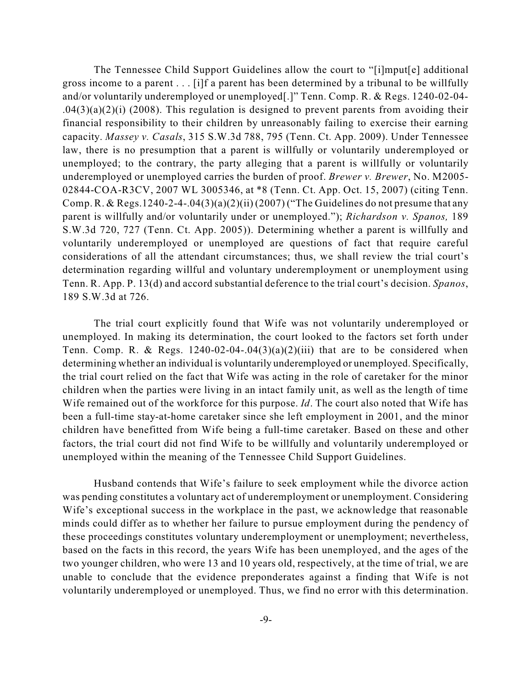The Tennessee Child Support Guidelines allow the court to "[i]mput[e] additional gross income to a parent . . . [i]f a parent has been determined by a tribunal to be willfully and/or voluntarily underemployed or unemployed[.]" Tenn. Comp. R. & Regs. 1240-02-04-  $.04(3)(a)(2)(i)$  (2008). This regulation is designed to prevent parents from avoiding their financial responsibility to their children by unreasonably failing to exercise their earning capacity. *Massey v. Casals*, 315 S.W.3d 788, 795 (Tenn. Ct. App. 2009). Under Tennessee law, there is no presumption that a parent is willfully or voluntarily underemployed or unemployed; to the contrary, the party alleging that a parent is willfully or voluntarily underemployed or unemployed carries the burden of proof. *Brewer v. Brewer*, No. M2005- 02844-COA-R3CV, 2007 WL 3005346, at \*8 (Tenn. Ct. App. Oct. 15, 2007) (citing Tenn. Comp. R. & Regs.1240-2-4-.04(3)(a)(2)(ii) (2007) ("The Guidelines do not presume that any parent is willfully and/or voluntarily under or unemployed."); *Richardson v. Spanos,* 189 S.W.3d 720, 727 (Tenn. Ct. App. 2005)). Determining whether a parent is willfully and voluntarily underemployed or unemployed are questions of fact that require careful considerations of all the attendant circumstances; thus, we shall review the trial court's determination regarding willful and voluntary underemployment or unemployment using Tenn. R. App. P. 13(d) and accord substantial deference to the trial court's decision. *Spanos*, 189 S.W.3d at 726.

The trial court explicitly found that Wife was not voluntarily underemployed or unemployed. In making its determination, the court looked to the factors set forth under Tenn. Comp. R. & Regs.  $1240-02-04-.04(3)(a)(2)(iii)$  that are to be considered when determining whether an individual is voluntarily underemployed or unemployed. Specifically, the trial court relied on the fact that Wife was acting in the role of caretaker for the minor children when the parties were living in an intact family unit, as well as the length of time Wife remained out of the workforce for this purpose. *Id*. The court also noted that Wife has been a full-time stay-at-home caretaker since she left employment in 2001, and the minor children have benefitted from Wife being a full-time caretaker. Based on these and other factors, the trial court did not find Wife to be willfully and voluntarily underemployed or unemployed within the meaning of the Tennessee Child Support Guidelines.

Husband contends that Wife's failure to seek employment while the divorce action was pending constitutes a voluntary act of underemployment or unemployment. Considering Wife's exceptional success in the workplace in the past, we acknowledge that reasonable minds could differ as to whether her failure to pursue employment during the pendency of these proceedings constitutes voluntary underemployment or unemployment; nevertheless, based on the facts in this record, the years Wife has been unemployed, and the ages of the two younger children, who were 13 and 10 years old, respectively, at the time of trial, we are unable to conclude that the evidence preponderates against a finding that Wife is not voluntarily underemployed or unemployed. Thus, we find no error with this determination.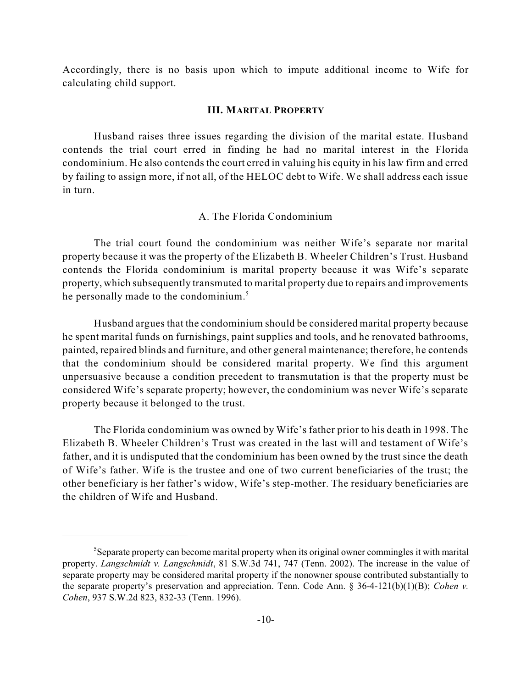Accordingly, there is no basis upon which to impute additional income to Wife for calculating child support.

#### **III. MARITAL PROPERTY**

Husband raises three issues regarding the division of the marital estate. Husband contends the trial court erred in finding he had no marital interest in the Florida condominium. He also contends the court erred in valuing his equity in his law firm and erred by failing to assign more, if not all, of the HELOC debt to Wife. We shall address each issue in turn.

#### A. The Florida Condominium

The trial court found the condominium was neither Wife's separate nor marital property because it was the property of the Elizabeth B. Wheeler Children's Trust. Husband contends the Florida condominium is marital property because it was Wife's separate property, which subsequently transmuted to marital property due to repairs and improvements he personally made to the condominium.<sup>5</sup>

Husband argues that the condominium should be considered marital property because he spent marital funds on furnishings, paint supplies and tools, and he renovated bathrooms, painted, repaired blinds and furniture, and other general maintenance; therefore, he contends that the condominium should be considered marital property. We find this argument unpersuasive because a condition precedent to transmutation is that the property must be considered Wife's separate property; however, the condominium was never Wife's separate property because it belonged to the trust.

The Florida condominium was owned by Wife's father prior to his death in 1998. The Elizabeth B. Wheeler Children's Trust was created in the last will and testament of Wife's father, and it is undisputed that the condominium has been owned by the trust since the death of Wife's father. Wife is the trustee and one of two current beneficiaries of the trust; the other beneficiary is her father's widow, Wife's step-mother. The residuary beneficiaries are the children of Wife and Husband.

<sup>&</sup>lt;sup>5</sup>Separate property can become marital property when its original owner commingles it with marital property. *Langschmidt v. Langschmidt*, 81 S.W.3d 741, 747 (Tenn. 2002). The increase in the value of separate property may be considered marital property if the nonowner spouse contributed substantially to the separate property's preservation and appreciation. Tenn. Code Ann. § 36-4-121(b)(1)(B); *Cohen v. Cohen*, 937 S.W.2d 823, 832-33 (Tenn. 1996).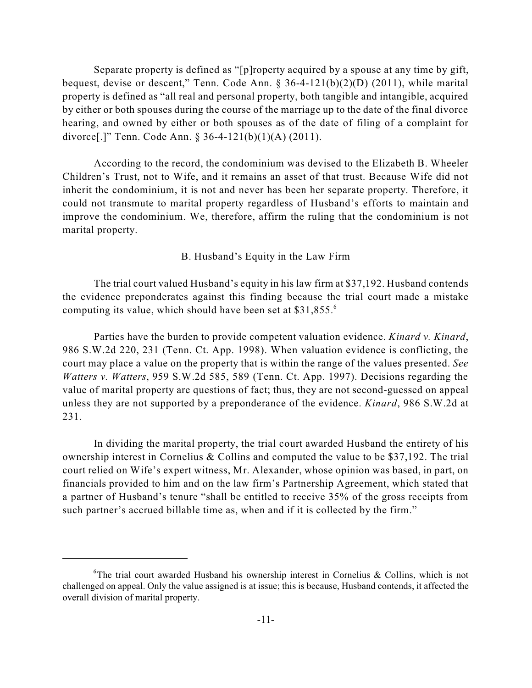Separate property is defined as "[p]roperty acquired by a spouse at any time by gift, bequest, devise or descent," Tenn. Code Ann.  $\S 36-4-121(b)(2)(D)$  (2011), while marital property is defined as "all real and personal property, both tangible and intangible, acquired by either or both spouses during the course of the marriage up to the date of the final divorce hearing, and owned by either or both spouses as of the date of filing of a complaint for divorce[.]" Tenn. Code Ann. § 36-4-121(b)(1)(A) (2011).

According to the record, the condominium was devised to the Elizabeth B. Wheeler Children's Trust, not to Wife, and it remains an asset of that trust. Because Wife did not inherit the condominium, it is not and never has been her separate property. Therefore, it could not transmute to marital property regardless of Husband's efforts to maintain and improve the condominium. We, therefore, affirm the ruling that the condominium is not marital property.

#### B. Husband's Equity in the Law Firm

The trial court valued Husband's equity in his law firm at \$37,192. Husband contends the evidence preponderates against this finding because the trial court made a mistake computing its value, which should have been set at \$31,855. 6

Parties have the burden to provide competent valuation evidence. *Kinard v. Kinard*, 986 S.W.2d 220, 231 (Tenn. Ct. App. 1998). When valuation evidence is conflicting, the court may place a value on the property that is within the range of the values presented. *See Watters v. Watters*, 959 S.W.2d 585, 589 (Tenn. Ct. App. 1997). Decisions regarding the value of marital property are questions of fact; thus, they are not second-guessed on appeal unless they are not supported by a preponderance of the evidence. *Kinard*, 986 S.W.2d at 231.

In dividing the marital property, the trial court awarded Husband the entirety of his ownership interest in Cornelius & Collins and computed the value to be \$37,192. The trial court relied on Wife's expert witness, Mr. Alexander, whose opinion was based, in part, on financials provided to him and on the law firm's Partnership Agreement, which stated that a partner of Husband's tenure "shall be entitled to receive 35% of the gross receipts from such partner's accrued billable time as, when and if it is collected by the firm."

<sup>&</sup>lt;sup>6</sup>The trial court awarded Husband his ownership interest in Cornelius & Collins, which is not challenged on appeal. Only the value assigned is at issue; this is because, Husband contends, it affected the overall division of marital property.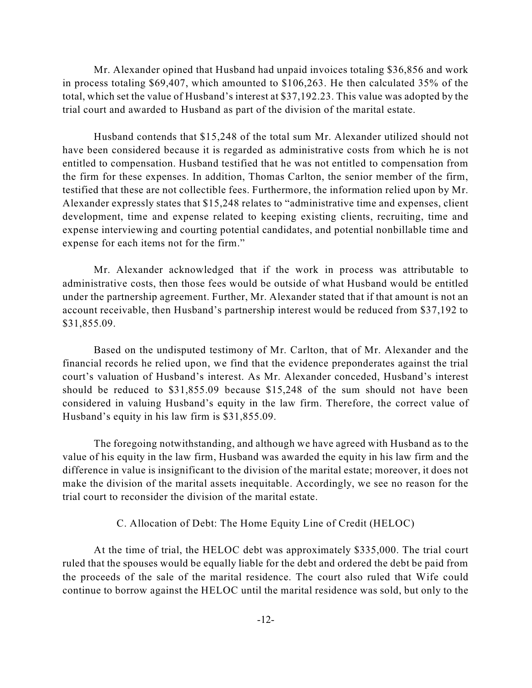Mr. Alexander opined that Husband had unpaid invoices totaling \$36,856 and work in process totaling \$69,407, which amounted to \$106,263. He then calculated 35% of the total, which set the value of Husband's interest at \$37,192.23. This value was adopted by the trial court and awarded to Husband as part of the division of the marital estate.

Husband contends that \$15,248 of the total sum Mr. Alexander utilized should not have been considered because it is regarded as administrative costs from which he is not entitled to compensation. Husband testified that he was not entitled to compensation from the firm for these expenses. In addition, Thomas Carlton, the senior member of the firm, testified that these are not collectible fees. Furthermore, the information relied upon by Mr. Alexander expressly states that \$15,248 relates to "administrative time and expenses, client development, time and expense related to keeping existing clients, recruiting, time and expense interviewing and courting potential candidates, and potential nonbillable time and expense for each items not for the firm."

Mr. Alexander acknowledged that if the work in process was attributable to administrative costs, then those fees would be outside of what Husband would be entitled under the partnership agreement. Further, Mr. Alexander stated that if that amount is not an account receivable, then Husband's partnership interest would be reduced from \$37,192 to \$31,855.09.

Based on the undisputed testimony of Mr. Carlton, that of Mr. Alexander and the financial records he relied upon, we find that the evidence preponderates against the trial court's valuation of Husband's interest. As Mr. Alexander conceded, Husband's interest should be reduced to \$31,855.09 because \$15,248 of the sum should not have been considered in valuing Husband's equity in the law firm. Therefore, the correct value of Husband's equity in his law firm is \$31,855.09.

The foregoing notwithstanding, and although we have agreed with Husband as to the value of his equity in the law firm, Husband was awarded the equity in his law firm and the difference in value is insignificant to the division of the marital estate; moreover, it does not make the division of the marital assets inequitable. Accordingly, we see no reason for the trial court to reconsider the division of the marital estate.

## C. Allocation of Debt: The Home Equity Line of Credit (HELOC)

At the time of trial, the HELOC debt was approximately \$335,000. The trial court ruled that the spouses would be equally liable for the debt and ordered the debt be paid from the proceeds of the sale of the marital residence. The court also ruled that Wife could continue to borrow against the HELOC until the marital residence was sold, but only to the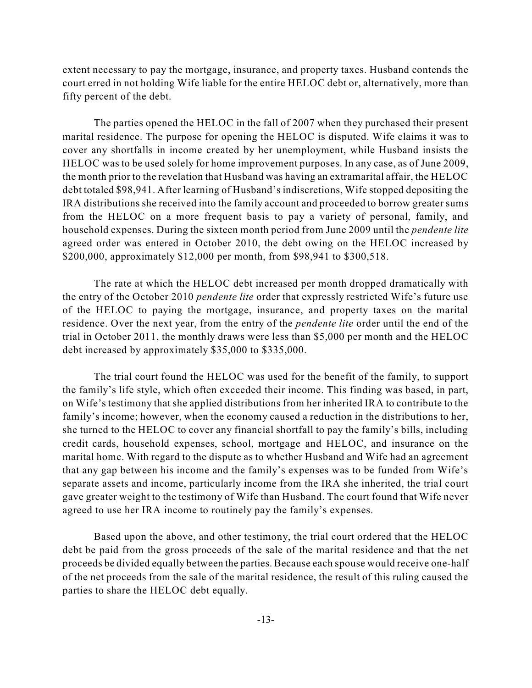extent necessary to pay the mortgage, insurance, and property taxes. Husband contends the court erred in not holding Wife liable for the entire HELOC debt or, alternatively, more than fifty percent of the debt.

The parties opened the HELOC in the fall of 2007 when they purchased their present marital residence. The purpose for opening the HELOC is disputed. Wife claims it was to cover any shortfalls in income created by her unemployment, while Husband insists the HELOC was to be used solely for home improvement purposes. In any case, as of June 2009, the month prior to the revelation that Husband was having an extramarital affair, the HELOC debt totaled \$98,941. After learning of Husband's indiscretions, Wife stopped depositing the IRA distributions she received into the family account and proceeded to borrow greater sums from the HELOC on a more frequent basis to pay a variety of personal, family, and household expenses. During the sixteen month period from June 2009 until the *pendente lite* agreed order was entered in October 2010, the debt owing on the HELOC increased by \$200,000, approximately \$12,000 per month, from \$98,941 to \$300,518.

The rate at which the HELOC debt increased per month dropped dramatically with the entry of the October 2010 *pendente lite* order that expressly restricted Wife's future use of the HELOC to paying the mortgage, insurance, and property taxes on the marital residence. Over the next year, from the entry of the *pendente lite* order until the end of the trial in October 2011, the monthly draws were less than \$5,000 per month and the HELOC debt increased by approximately \$35,000 to \$335,000.

The trial court found the HELOC was used for the benefit of the family, to support the family's life style, which often exceeded their income. This finding was based, in part, on Wife's testimony that she applied distributions from her inherited IRA to contribute to the family's income; however, when the economy caused a reduction in the distributions to her, she turned to the HELOC to cover any financial shortfall to pay the family's bills, including credit cards, household expenses, school, mortgage and HELOC, and insurance on the marital home. With regard to the dispute as to whether Husband and Wife had an agreement that any gap between his income and the family's expenses was to be funded from Wife's separate assets and income, particularly income from the IRA she inherited, the trial court gave greater weight to the testimony of Wife than Husband. The court found that Wife never agreed to use her IRA income to routinely pay the family's expenses.

Based upon the above, and other testimony, the trial court ordered that the HELOC debt be paid from the gross proceeds of the sale of the marital residence and that the net proceeds be divided equally between the parties. Because each spouse would receive one-half of the net proceeds from the sale of the marital residence, the result of this ruling caused the parties to share the HELOC debt equally.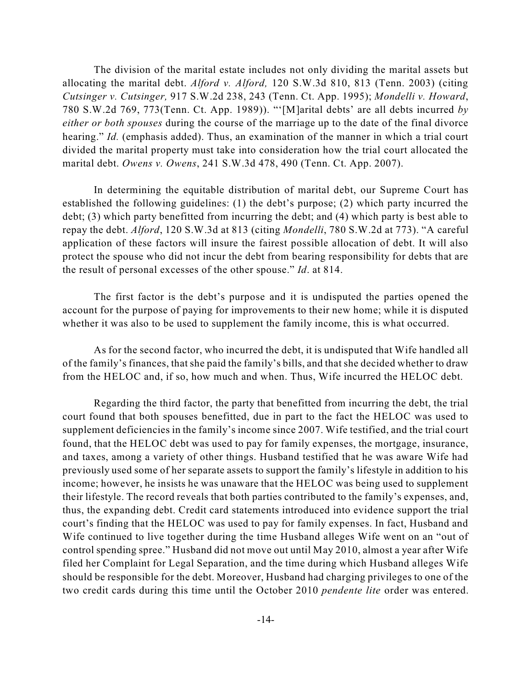The division of the marital estate includes not only dividing the marital assets but allocating the marital debt. *Alford v. Alford,* 120 S.W.3d 810, 813 (Tenn. 2003) (citing *Cutsinger v. Cutsinger,* 917 S.W.2d 238, 243 (Tenn. Ct. App. 1995); *Mondelli v. Howard*, 780 S.W.2d 769, 773(Tenn. Ct. App. 1989)). "'[M]arital debts' are all debts incurred *by either or both spouses* during the course of the marriage up to the date of the final divorce hearing." *Id.* (emphasis added). Thus, an examination of the manner in which a trial court divided the marital property must take into consideration how the trial court allocated the marital debt. *Owens v. Owens*, 241 S.W.3d 478, 490 (Tenn. Ct. App. 2007).

In determining the equitable distribution of marital debt, our Supreme Court has established the following guidelines: (1) the debt's purpose; (2) which party incurred the debt; (3) which party benefitted from incurring the debt; and (4) which party is best able to repay the debt. *Alford*, 120 S.W.3d at 813 (citing *Mondelli*, 780 S.W.2d at 773). "A careful application of these factors will insure the fairest possible allocation of debt. It will also protect the spouse who did not incur the debt from bearing responsibility for debts that are the result of personal excesses of the other spouse." *Id*. at 814.

The first factor is the debt's purpose and it is undisputed the parties opened the account for the purpose of paying for improvements to their new home; while it is disputed whether it was also to be used to supplement the family income, this is what occurred.

As for the second factor, who incurred the debt, it is undisputed that Wife handled all of the family's finances, that she paid the family's bills, and that she decided whether to draw from the HELOC and, if so, how much and when. Thus, Wife incurred the HELOC debt.

Regarding the third factor, the party that benefitted from incurring the debt, the trial court found that both spouses benefitted, due in part to the fact the HELOC was used to supplement deficiencies in the family's income since 2007. Wife testified, and the trial court found, that the HELOC debt was used to pay for family expenses, the mortgage, insurance, and taxes, among a variety of other things. Husband testified that he was aware Wife had previously used some of her separate assets to support the family's lifestyle in addition to his income; however, he insists he was unaware that the HELOC was being used to supplement their lifestyle. The record reveals that both parties contributed to the family's expenses, and, thus, the expanding debt. Credit card statements introduced into evidence support the trial court's finding that the HELOC was used to pay for family expenses. In fact, Husband and Wife continued to live together during the time Husband alleges Wife went on an "out of control spending spree." Husband did not move out until May 2010, almost a year after Wife filed her Complaint for Legal Separation, and the time during which Husband alleges Wife should be responsible for the debt. Moreover, Husband had charging privileges to one of the two credit cards during this time until the October 2010 *pendente lite* order was entered.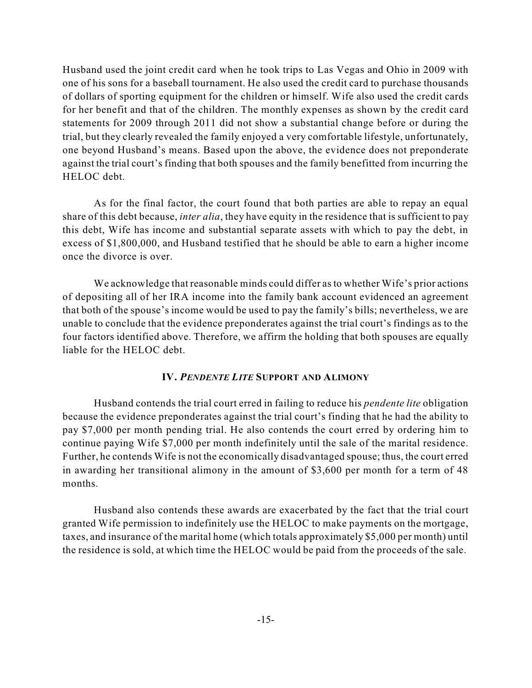Husband used the joint credit card when he took trips to Las Vegas and Ohio in 2009 with one of his sons for a baseball tournament. He also used the credit card to purchase thousands of dollars of sporting equipment for the children or himself. Wife also used the credit cards for her benefit and that of the children. The monthly expenses as shown by the credit card statements for 2009 through 2011 did not show a substantial change before or during the trial, but they clearly revealed the family enjoyed a very comfortable lifestyle, unfortunately, one beyond Husband's means. Based upon the above, the evidence does not preponderate against the trial court's finding that both spouses and the family benefitted from incurring the HELOC debt.

As for the final factor, the court found that both parties are able to repay an equal share of this debt because, *inter alia*, they have equity in the residence that is sufficient to pay this debt, Wife has income and substantial separate assets with which to pay the debt, in excess of \$1,800,000, and Husband testified that he should be able to earn a higher income once the divorce is over.

We acknowledge that reasonable minds could differ as to whether Wife's prior actions of depositing all of her IRA income into the family bank account evidenced an agreement that both of the spouse's income would be used to pay the family's bills; nevertheless, we are unable to conclude that the evidence preponderates against the trial court's findings as to the four factors identified above. Therefore, we affirm the holding that both spouses are equally liable for the HELOC debt.

### **IV.** *PENDENTE LITE* **SUPPORT AND ALIMONY**

Husband contends the trial court erred in failing to reduce his *pendente lite* obligation because the evidence preponderates against the trial court's finding that he had the ability to pay \$7,000 per month pending trial. He also contends the court erred by ordering him to continue paying Wife \$7,000 per month indefinitely until the sale of the marital residence. Further, he contends Wife is not the economically disadvantaged spouse; thus, the court erred in awarding her transitional alimony in the amount of \$3,600 per month for a term of 48 months.

Husband also contends these awards are exacerbated by the fact that the trial court granted Wife permission to indefinitely use the HELOC to make payments on the mortgage, taxes, and insurance of the marital home (which totals approximately \$5,000 per month) until the residence is sold, at which time the HELOC would be paid from the proceeds of the sale.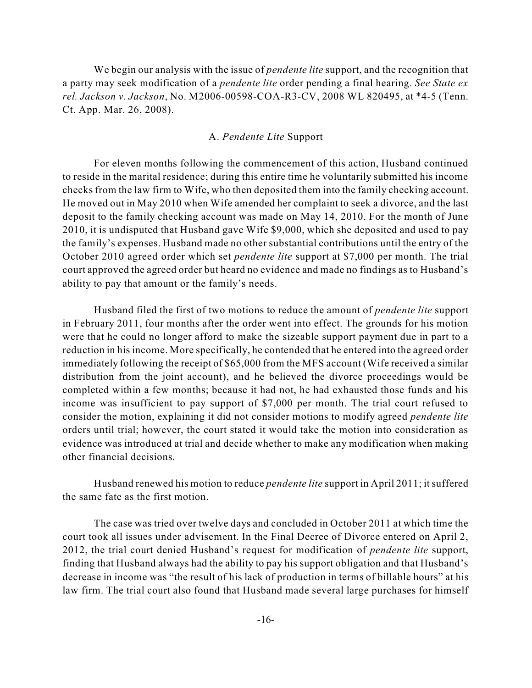We begin our analysis with the issue of *pendente lite* support, and the recognition that a party may seek modification of a *pendente lite* order pending a final hearing. *See State ex rel. Jackson v. Jackson*, No. M2006-00598-COA-R3-CV, 2008 WL 820495, at \*4-5 (Tenn. Ct. App. Mar. 26, 2008).

#### A. *Pendente Lite* Support

For eleven months following the commencement of this action, Husband continued to reside in the marital residence; during this entire time he voluntarily submitted his income checks from the law firm to Wife, who then deposited them into the family checking account. He moved out in May 2010 when Wife amended her complaint to seek a divorce, and the last deposit to the family checking account was made on May 14, 2010. For the month of June 2010, it is undisputed that Husband gave Wife \$9,000, which she deposited and used to pay the family's expenses. Husband made no other substantial contributions until the entry of the October 2010 agreed order which set *pendente lite* support at \$7,000 per month. The trial court approved the agreed order but heard no evidence and made no findings as to Husband's ability to pay that amount or the family's needs.

Husband filed the first of two motions to reduce the amount of *pendente lite* support in February 2011, four months after the order went into effect. The grounds for his motion were that he could no longer afford to make the sizeable support payment due in part to a reduction in his income. More specifically, he contended that he entered into the agreed order immediately following the receipt of \$65,000 from the MFS account (Wife received a similar distribution from the joint account), and he believed the divorce proceedings would be completed within a few months; because it had not, he had exhausted those funds and his income was insufficient to pay support of \$7,000 per month. The trial court refused to consider the motion, explaining it did not consider motions to modify agreed *pendente lite* orders until trial; however, the court stated it would take the motion into consideration as evidence was introduced at trial and decide whether to make any modification when making other financial decisions.

Husband renewed his motion to reduce *pendente lite* support in April 2011; itsuffered the same fate as the first motion.

The case was tried over twelve days and concluded in October 2011 at which time the court took all issues under advisement. In the Final Decree of Divorce entered on April 2, 2012, the trial court denied Husband's request for modification of *pendente lite* support, finding that Husband always had the ability to pay his support obligation and that Husband's decrease in income was "the result of his lack of production in terms of billable hours" at his law firm. The trial court also found that Husband made several large purchases for himself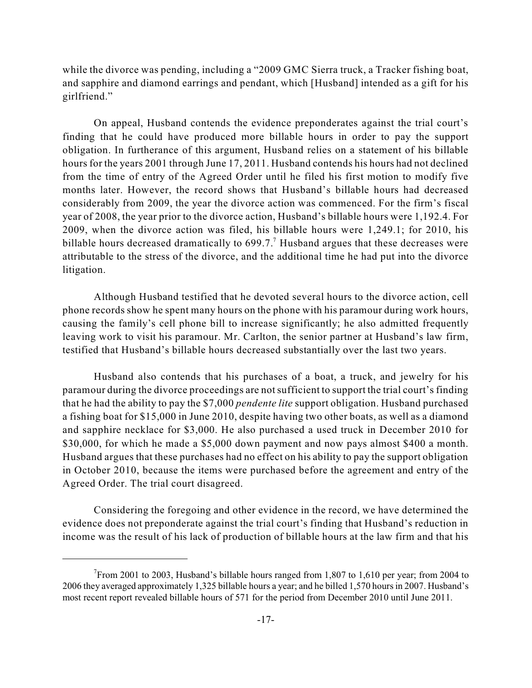while the divorce was pending, including a "2009 GMC Sierra truck, a Tracker fishing boat, and sapphire and diamond earrings and pendant, which [Husband] intended as a gift for his girlfriend."

On appeal, Husband contends the evidence preponderates against the trial court's finding that he could have produced more billable hours in order to pay the support obligation. In furtherance of this argument, Husband relies on a statement of his billable hours for the years 2001 through June 17, 2011. Husband contends his hours had not declined from the time of entry of the Agreed Order until he filed his first motion to modify five months later. However, the record shows that Husband's billable hours had decreased considerably from 2009, the year the divorce action was commenced. For the firm's fiscal year of 2008, the year prior to the divorce action, Husband's billable hours were 1,192.4. For 2009, when the divorce action was filed, his billable hours were 1,249.1; for 2010, his billable hours decreased dramatically to  $699.7$ .<sup>7</sup> Husband argues that these decreases were attributable to the stress of the divorce, and the additional time he had put into the divorce litigation.

Although Husband testified that he devoted several hours to the divorce action, cell phone records show he spent many hours on the phone with his paramour during work hours, causing the family's cell phone bill to increase significantly; he also admitted frequently leaving work to visit his paramour. Mr. Carlton, the senior partner at Husband's law firm, testified that Husband's billable hours decreased substantially over the last two years.

Husband also contends that his purchases of a boat, a truck, and jewelry for his paramour during the divorce proceedings are notsufficient to support the trial court's finding that he had the ability to pay the \$7,000 *pendente lite* support obligation. Husband purchased a fishing boat for \$15,000 in June 2010, despite having two other boats, as well as a diamond and sapphire necklace for \$3,000. He also purchased a used truck in December 2010 for \$30,000, for which he made a \$5,000 down payment and now pays almost \$400 a month. Husband argues that these purchases had no effect on his ability to pay the support obligation in October 2010, because the items were purchased before the agreement and entry of the Agreed Order. The trial court disagreed.

Considering the foregoing and other evidence in the record, we have determined the evidence does not preponderate against the trial court's finding that Husband's reduction in income was the result of his lack of production of billable hours at the law firm and that his

 $7$ From 2001 to 2003, Husband's billable hours ranged from 1,807 to 1,610 per year; from 2004 to 2006 they averaged approximately 1,325 billable hours a year; and he billed 1,570 hours in 2007. Husband's most recent report revealed billable hours of 571 for the period from December 2010 until June 2011.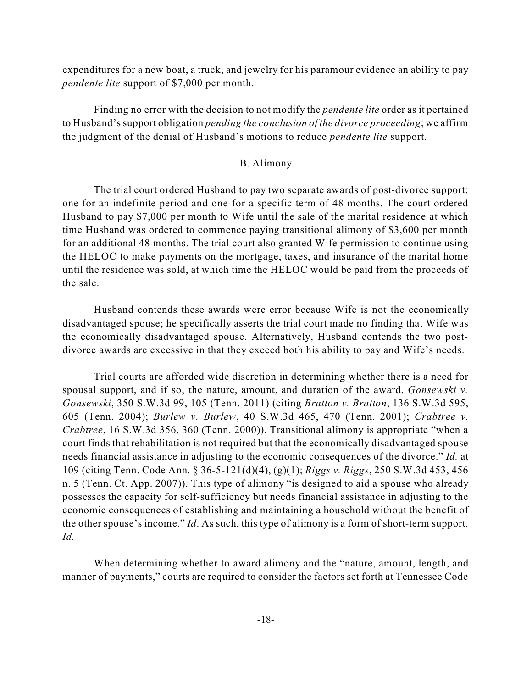expenditures for a new boat, a truck, and jewelry for his paramour evidence an ability to pay *pendente lite* support of \$7,000 per month.

Finding no error with the decision to not modify the *pendente lite* order as it pertained to Husband'ssupport obligation *pending the conclusion of the divorce proceeding*; we affirm the judgment of the denial of Husband's motions to reduce *pendente lite* support.

## B. Alimony

The trial court ordered Husband to pay two separate awards of post-divorce support: one for an indefinite period and one for a specific term of 48 months. The court ordered Husband to pay \$7,000 per month to Wife until the sale of the marital residence at which time Husband was ordered to commence paying transitional alimony of \$3,600 per month for an additional 48 months. The trial court also granted Wife permission to continue using the HELOC to make payments on the mortgage, taxes, and insurance of the marital home until the residence was sold, at which time the HELOC would be paid from the proceeds of the sale.

Husband contends these awards were error because Wife is not the economically disadvantaged spouse; he specifically asserts the trial court made no finding that Wife was the economically disadvantaged spouse. Alternatively, Husband contends the two postdivorce awards are excessive in that they exceed both his ability to pay and Wife's needs.

Trial courts are afforded wide discretion in determining whether there is a need for spousal support, and if so, the nature, amount, and duration of the award. *Gonsewski v. Gonsewski*, 350 S.W.3d 99, 105 (Tenn. 2011) (citing *Bratton v. Bratton*, 136 S.W.3d 595, 605 (Tenn. 2004); *Burlew v. Burlew*, 40 S.W.3d 465, 470 (Tenn. 2001); *Crabtree v. Crabtree*, 16 S.W.3d 356, 360 (Tenn. 2000)). Transitional alimony is appropriate "when a court finds that rehabilitation is not required but that the economically disadvantaged spouse needs financial assistance in adjusting to the economic consequences of the divorce." *Id.* at 109 (citing Tenn. Code Ann. § 36-5-121(d)(4), (g)(1); *Riggs v. Riggs*, 250 S.W.3d 453, 456 n. 5 (Tenn. Ct. App. 2007)). This type of alimony "is designed to aid a spouse who already possesses the capacity for self-sufficiency but needs financial assistance in adjusting to the economic consequences of establishing and maintaining a household without the benefit of the other spouse's income." *Id*. As such, this type of alimony is a form of short-term support. *Id.*

When determining whether to award alimony and the "nature, amount, length, and manner of payments," courts are required to consider the factors set forth at Tennessee Code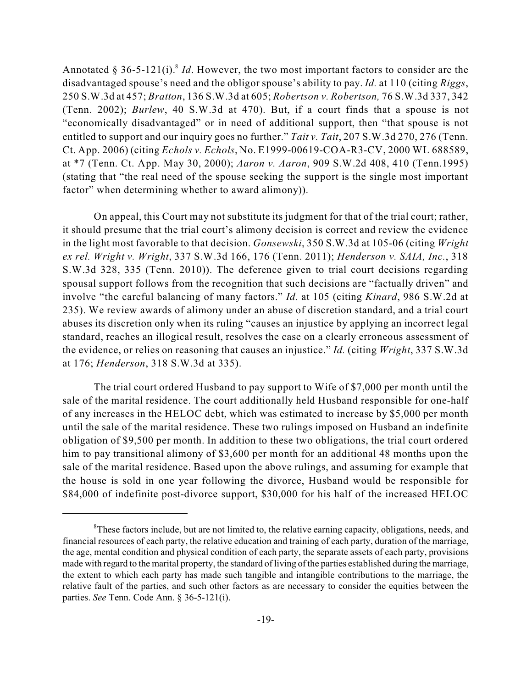Annotated § 36-5-121(i).<sup>8</sup> *Id*. However, the two most important factors to consider are the disadvantaged spouse's need and the obligor spouse's ability to pay. *Id.* at 110 (citing *Riggs*, 250 S.W.3d at 457; *Bratton*, 136 S.W.3d at 605; *Robertson v. Robertson,* 76 S.W.3d 337, 342 (Tenn. 2002); *Burlew*, 40 S.W.3d at 470). But, if a court finds that a spouse is not "economically disadvantaged" or in need of additional support, then "that spouse is not entitled to support and our inquiry goes no further." *Tait v. Tait*, 207 S.W.3d 270, 276 (Tenn. Ct. App. 2006) (citing *Echols v. Echols*, No. E1999-00619-COA-R3-CV, 2000 WL 688589, at \*7 (Tenn. Ct. App. May 30, 2000); *Aaron v. Aaron*, 909 S.W.2d 408, 410 (Tenn.1995) (stating that "the real need of the spouse seeking the support is the single most important factor" when determining whether to award alimony).

On appeal, this Court may not substitute its judgment for that of the trial court; rather, it should presume that the trial court's alimony decision is correct and review the evidence in the light most favorable to that decision. *Gonsewski*, 350 S.W.3d at 105-06 (citing *Wright ex rel. Wright v. Wright*, 337 S.W.3d 166, 176 (Tenn. 2011); *Henderson v. SAIA, Inc.*, 318 S.W.3d 328, 335 (Tenn. 2010)). The deference given to trial court decisions regarding spousal support follows from the recognition that such decisions are "factually driven" and involve "the careful balancing of many factors." *Id.* at 105 (citing *Kinard*, 986 S.W.2d at 235). We review awards of alimony under an abuse of discretion standard, and a trial court abuses its discretion only when its ruling "causes an injustice by applying an incorrect legal standard, reaches an illogical result, resolves the case on a clearly erroneous assessment of the evidence, or relies on reasoning that causes an injustice." *Id.* (citing *Wright*, 337 S.W.3d at 176; *Henderson*, 318 S.W.3d at 335).

The trial court ordered Husband to pay support to Wife of \$7,000 per month until the sale of the marital residence. The court additionally held Husband responsible for one-half of any increases in the HELOC debt, which was estimated to increase by \$5,000 per month until the sale of the marital residence. These two rulings imposed on Husband an indefinite obligation of \$9,500 per month. In addition to these two obligations, the trial court ordered him to pay transitional alimony of \$3,600 per month for an additional 48 months upon the sale of the marital residence. Based upon the above rulings, and assuming for example that the house is sold in one year following the divorce, Husband would be responsible for \$84,000 of indefinite post-divorce support, \$30,000 for his half of the increased HELOC

 ${}^8$ These factors include, but are not limited to, the relative earning capacity, obligations, needs, and financial resources of each party, the relative education and training of each party, duration of the marriage, the age, mental condition and physical condition of each party, the separate assets of each party, provisions made with regard to the marital property, the standard of living of the parties established during the marriage, the extent to which each party has made such tangible and intangible contributions to the marriage, the relative fault of the parties, and such other factors as are necessary to consider the equities between the parties. *See* Tenn. Code Ann. § 36-5-121(i).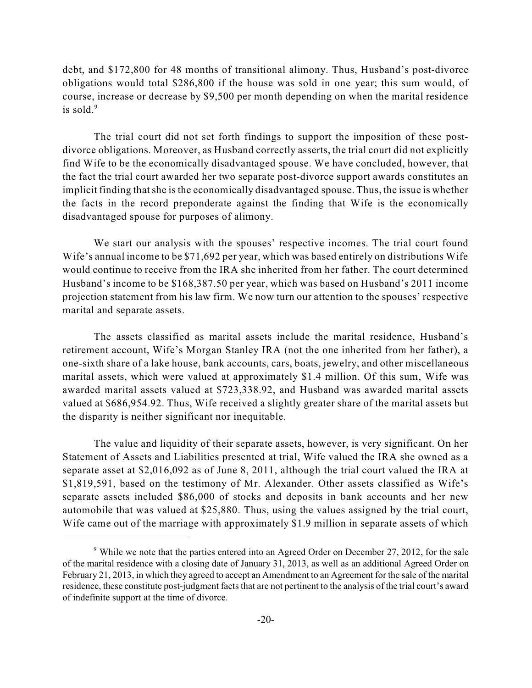debt, and \$172,800 for 48 months of transitional alimony. Thus, Husband's post-divorce obligations would total \$286,800 if the house was sold in one year; this sum would, of course, increase or decrease by \$9,500 per month depending on when the marital residence is sold. 9

The trial court did not set forth findings to support the imposition of these postdivorce obligations. Moreover, as Husband correctly asserts, the trial court did not explicitly find Wife to be the economically disadvantaged spouse. We have concluded, however, that the fact the trial court awarded her two separate post-divorce support awards constitutes an implicit finding thatshe is the economically disadvantaged spouse. Thus, the issue is whether the facts in the record preponderate against the finding that Wife is the economically disadvantaged spouse for purposes of alimony.

We start our analysis with the spouses' respective incomes. The trial court found Wife's annual income to be \$71,692 per year, which was based entirely on distributions Wife would continue to receive from the IRA she inherited from her father. The court determined Husband's income to be \$168,387.50 per year, which was based on Husband's 2011 income projection statement from his law firm. We now turn our attention to the spouses' respective marital and separate assets.

The assets classified as marital assets include the marital residence, Husband's retirement account, Wife's Morgan Stanley IRA (not the one inherited from her father), a one-sixth share of a lake house, bank accounts, cars, boats, jewelry, and other miscellaneous marital assets, which were valued at approximately \$1.4 million. Of this sum, Wife was awarded marital assets valued at \$723,338.92, and Husband was awarded marital assets valued at \$686,954.92. Thus, Wife received a slightly greater share of the marital assets but the disparity is neither significant nor inequitable.

The value and liquidity of their separate assets, however, is very significant. On her Statement of Assets and Liabilities presented at trial, Wife valued the IRA she owned as a separate asset at \$2,016,092 as of June 8, 2011, although the trial court valued the IRA at \$1,819,591, based on the testimony of Mr. Alexander. Other assets classified as Wife's separate assets included \$86,000 of stocks and deposits in bank accounts and her new automobile that was valued at \$25,880. Thus, using the values assigned by the trial court, Wife came out of the marriage with approximately \$1.9 million in separate assets of which

 $9$  While we note that the parties entered into an Agreed Order on December 27, 2012, for the sale of the marital residence with a closing date of January 31, 2013, as well as an additional Agreed Order on February 21, 2013, in which they agreed to accept an Amendment to an Agreement for the sale of the marital residence, these constitute post-judgment facts that are not pertinent to the analysis of the trial court's award of indefinite support at the time of divorce.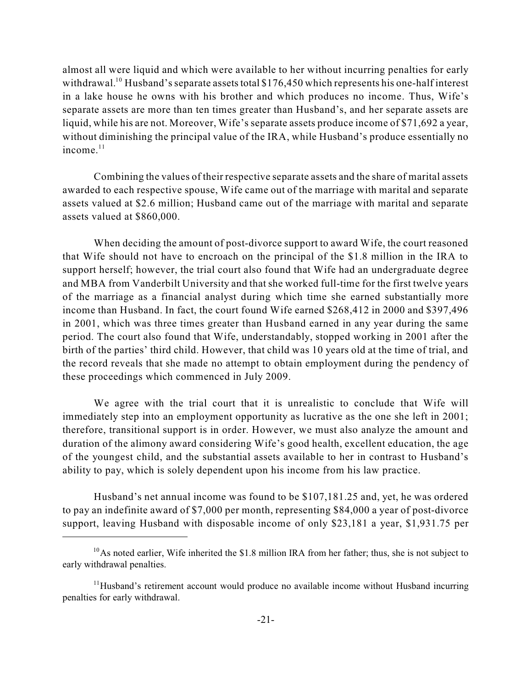almost all were liquid and which were available to her without incurring penalties for early withdrawal.<sup>10</sup> Husband's separate assets total \$176,450 which represents his one-half interest in a lake house he owns with his brother and which produces no income. Thus, Wife's separate assets are more than ten times greater than Husband's, and her separate assets are liquid, while his are not. Moreover, Wife's separate assets produce income of \$71,692 a year, without diminishing the principal value of the IRA, while Husband's produce essentially no income. 11

Combining the values of their respective separate assets and the share of marital assets awarded to each respective spouse, Wife came out of the marriage with marital and separate assets valued at \$2.6 million; Husband came out of the marriage with marital and separate assets valued at \$860,000.

When deciding the amount of post-divorce support to award Wife, the court reasoned that Wife should not have to encroach on the principal of the \$1.8 million in the IRA to support herself; however, the trial court also found that Wife had an undergraduate degree and MBA from Vanderbilt University and that she worked full-time for the first twelve years of the marriage as a financial analyst during which time she earned substantially more income than Husband. In fact, the court found Wife earned \$268,412 in 2000 and \$397,496 in 2001, which was three times greater than Husband earned in any year during the same period. The court also found that Wife, understandably, stopped working in 2001 after the birth of the parties' third child. However, that child was 10 years old at the time of trial, and the record reveals that she made no attempt to obtain employment during the pendency of these proceedings which commenced in July 2009.

We agree with the trial court that it is unrealistic to conclude that Wife will immediately step into an employment opportunity as lucrative as the one she left in 2001; therefore, transitional support is in order. However, we must also analyze the amount and duration of the alimony award considering Wife's good health, excellent education, the age of the youngest child, and the substantial assets available to her in contrast to Husband's ability to pay, which is solely dependent upon his income from his law practice.

Husband's net annual income was found to be \$107,181.25 and, yet, he was ordered to pay an indefinite award of \$7,000 per month, representing \$84,000 a year of post-divorce support, leaving Husband with disposable income of only \$23,181 a year, \$1,931.75 per

 $^{10}$ As noted earlier, Wife inherited the \$1.8 million IRA from her father; thus, she is not subject to early withdrawal penalties.

 $11$ Husband's retirement account would produce no available income without Husband incurring penalties for early withdrawal.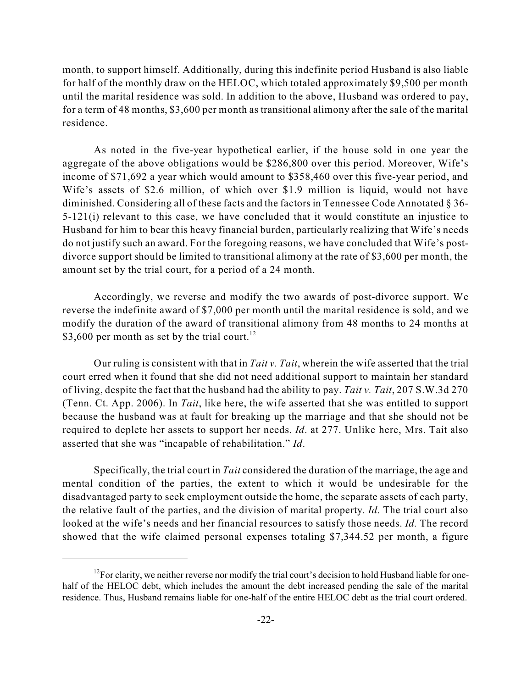month, to support himself. Additionally, during this indefinite period Husband is also liable for half of the monthly draw on the HELOC, which totaled approximately \$9,500 per month until the marital residence was sold. In addition to the above, Husband was ordered to pay, for a term of 48 months, \$3,600 per month as transitional alimony after the sale of the marital residence.

As noted in the five-year hypothetical earlier, if the house sold in one year the aggregate of the above obligations would be \$286,800 over this period. Moreover, Wife's income of \$71,692 a year which would amount to \$358,460 over this five-year period, and Wife's assets of \$2.6 million, of which over \$1.9 million is liquid, would not have diminished. Considering all of these facts and the factors in Tennessee Code Annotated § 36- 5-121(i) relevant to this case, we have concluded that it would constitute an injustice to Husband for him to bear this heavy financial burden, particularly realizing that Wife's needs do not justify such an award. For the foregoing reasons, we have concluded that Wife's postdivorce support should be limited to transitional alimony at the rate of \$3,600 per month, the amount set by the trial court, for a period of a 24 month.

Accordingly, we reverse and modify the two awards of post-divorce support. We reverse the indefinite award of \$7,000 per month until the marital residence is sold, and we modify the duration of the award of transitional alimony from 48 months to 24 months at \$3,600 per month as set by the trial court.<sup>12</sup>

Our ruling is consistent with that in *Tait v. Tait*, wherein the wife asserted that the trial court erred when it found that she did not need additional support to maintain her standard of living, despite the fact that the husband had the ability to pay. *Tait v. Tait*, 207 S.W.3d 270 (Tenn. Ct. App. 2006). In *Tait*, like here, the wife asserted that she was entitled to support because the husband was at fault for breaking up the marriage and that she should not be required to deplete her assets to support her needs. *Id*. at 277. Unlike here, Mrs. Tait also asserted that she was "incapable of rehabilitation." *Id*.

Specifically, the trial court in *Tait* considered the duration of the marriage, the age and mental condition of the parties, the extent to which it would be undesirable for the disadvantaged party to seek employment outside the home, the separate assets of each party, the relative fault of the parties, and the division of marital property. *Id*. The trial court also looked at the wife's needs and her financial resources to satisfy those needs. *Id.* The record showed that the wife claimed personal expenses totaling \$7,344.52 per month, a figure

 $^{12}$  For clarity, we neither reverse nor modify the trial court's decision to hold Husband liable for onehalf of the HELOC debt, which includes the amount the debt increased pending the sale of the marital residence. Thus, Husband remains liable for one-half of the entire HELOC debt as the trial court ordered.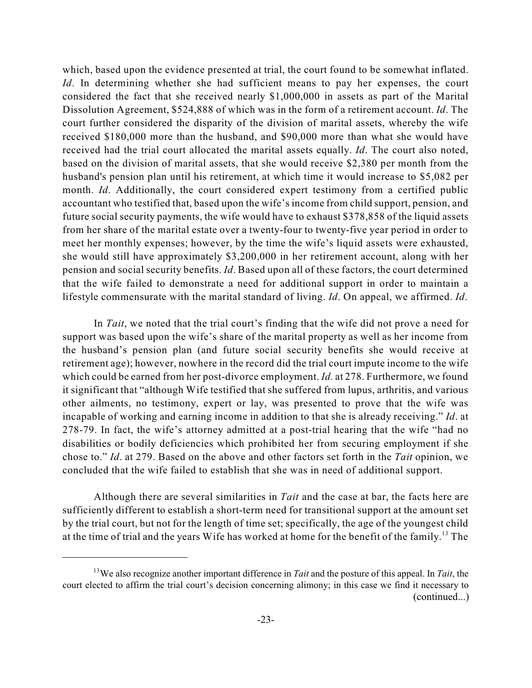which, based upon the evidence presented at trial, the court found to be somewhat inflated. *Id*. In determining whether she had sufficient means to pay her expenses, the court considered the fact that she received nearly \$1,000,000 in assets as part of the Marital Dissolution Agreement, \$524,888 of which was in the form of a retirement account. *Id*. The court further considered the disparity of the division of marital assets, whereby the wife received \$180,000 more than the husband, and \$90,000 more than what she would have received had the trial court allocated the marital assets equally. *Id*. The court also noted, based on the division of marital assets, that she would receive \$2,380 per month from the husband's pension plan until his retirement, at which time it would increase to \$5,082 per month. *Id*. Additionally, the court considered expert testimony from a certified public accountant who testified that, based upon the wife's income from child support, pension, and future social security payments, the wife would have to exhaust \$378,858 of the liquid assets from her share of the marital estate over a twenty-four to twenty-five year period in order to meet her monthly expenses; however, by the time the wife's liquid assets were exhausted, she would still have approximately \$3,200,000 in her retirement account, along with her pension and social security benefits. *Id*. Based upon all of these factors, the court determined that the wife failed to demonstrate a need for additional support in order to maintain a lifestyle commensurate with the marital standard of living. *Id*. On appeal, we affirmed. *Id*.

In *Tait*, we noted that the trial court's finding that the wife did not prove a need for support was based upon the wife's share of the marital property as well as her income from the husband's pension plan (and future social security benefits she would receive at retirement age); however, nowhere in the record did the trial court impute income to the wife which could be earned from her post-divorce employment. *Id.* at 278. Furthermore, we found it significant that "although Wife testified that she suffered from lupus, arthritis, and various other ailments, no testimony, expert or lay, was presented to prove that the wife was incapable of working and earning income in addition to that she is already receiving." *Id*. at 278-79. In fact, the wife's attorney admitted at a post-trial hearing that the wife "had no disabilities or bodily deficiencies which prohibited her from securing employment if she chose to." *Id*. at 279. Based on the above and other factors set forth in the *Tait* opinion, we concluded that the wife failed to establish that she was in need of additional support.

Although there are several similarities in *Tait* and the case at bar, the facts here are sufficiently different to establish a short-term need for transitional support at the amount set by the trial court, but not for the length of time set; specifically, the age of the youngest child at the time of trial and the years Wife has worked at home for the benefit of the family.<sup>13</sup> The

<sup>&</sup>lt;sup>13</sup>We also recognize another important difference in *Tait* and the posture of this appeal. In *Tait*, the court elected to affirm the trial court's decision concerning alimony; in this case we find it necessary to (continued...)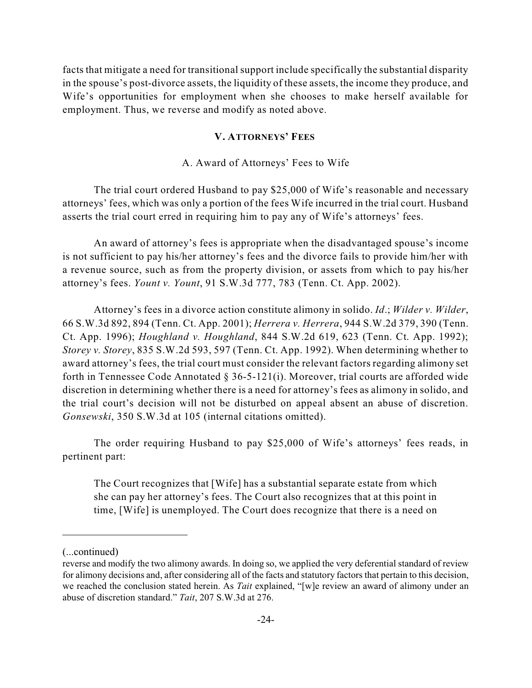facts that mitigate a need for transitional support include specifically the substantial disparity in the spouse's post-divorce assets, the liquidity of these assets, the income they produce, and Wife's opportunities for employment when she chooses to make herself available for employment. Thus, we reverse and modify as noted above.

## **V. ATTORNEYS' FEES**

#### A. Award of Attorneys' Fees to Wife

The trial court ordered Husband to pay \$25,000 of Wife's reasonable and necessary attorneys' fees, which was only a portion of the fees Wife incurred in the trial court. Husband asserts the trial court erred in requiring him to pay any of Wife's attorneys' fees.

An award of attorney's fees is appropriate when the disadvantaged spouse's income is not sufficient to pay his/her attorney's fees and the divorce fails to provide him/her with a revenue source, such as from the property division, or assets from which to pay his/her attorney's fees. *Yount v. Yount*, 91 S.W.3d 777, 783 (Tenn. Ct. App. 2002).

Attorney's fees in a divorce action constitute alimony in solido. *Id*.; *Wilder v. Wilder*, 66 S.W.3d 892, 894 (Tenn. Ct. App. 2001); *Herrera v. Herrera*, 944 S.W.2d 379, 390 (Tenn. Ct. App. 1996); *Houghland v. Houghland*, 844 S.W.2d 619, 623 (Tenn. Ct. App. 1992); *Storey v. Storey*, 835 S.W.2d 593, 597 (Tenn. Ct. App. 1992). When determining whether to award attorney's fees, the trial court must consider the relevant factors regarding alimony set forth in Tennessee Code Annotated § 36-5-121(i). Moreover, trial courts are afforded wide discretion in determining whether there is a need for attorney's fees as alimony in solido, and the trial court's decision will not be disturbed on appeal absent an abuse of discretion. *Gonsewski*, 350 S.W.3d at 105 (internal citations omitted).

The order requiring Husband to pay \$25,000 of Wife's attorneys' fees reads, in pertinent part:

The Court recognizes that [Wife] has a substantial separate estate from which she can pay her attorney's fees. The Court also recognizes that at this point in time, [Wife] is unemployed. The Court does recognize that there is a need on

<sup>(...</sup>continued)

reverse and modify the two alimony awards. In doing so, we applied the very deferential standard of review for alimony decisions and, after considering all of the facts and statutory factors that pertain to this decision, we reached the conclusion stated herein. As *Tait* explained, "[w]e review an award of alimony under an abuse of discretion standard." *Tait*, 207 S.W.3d at 276.